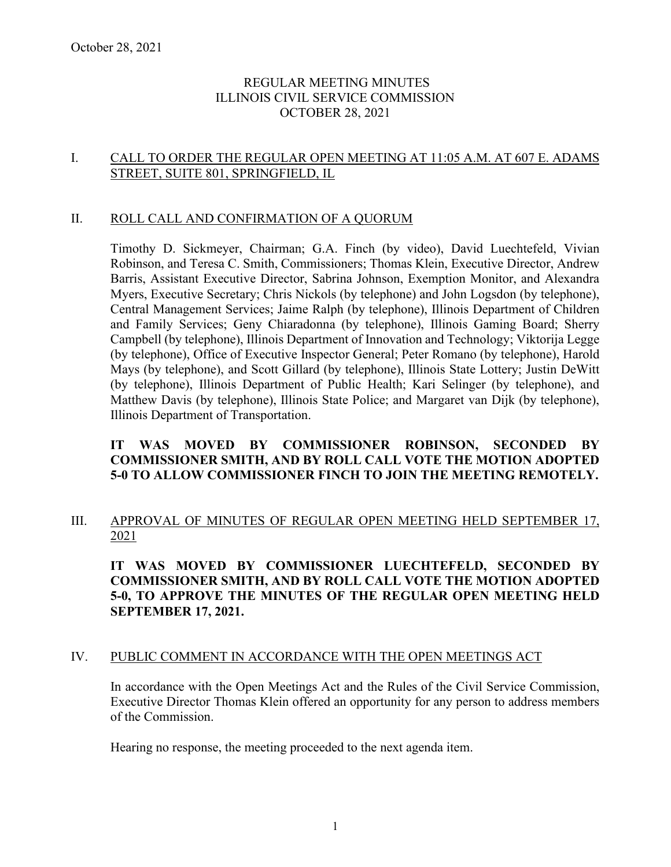### REGULAR MEETING MINUTES ILLINOIS CIVIL SERVICE COMMISSION OCTOBER 28, 2021

### I. CALL TO ORDER THE REGULAR OPEN MEETING AT 11:05 A.M. AT 607 E. ADAMS STREET, SUITE 801, SPRINGFIELD, IL

### II. ROLL CALL AND CONFIRMATION OF A QUORUM

Timothy D. Sickmeyer, Chairman; G.A. Finch (by video), David Luechtefeld, Vivian Robinson, and Teresa C. Smith, Commissioners; Thomas Klein, Executive Director, Andrew Barris, Assistant Executive Director, Sabrina Johnson, Exemption Monitor, and Alexandra Myers, Executive Secretary; Chris Nickols (by telephone) and John Logsdon (by telephone), Central Management Services; Jaime Ralph (by telephone), Illinois Department of Children and Family Services; Geny Chiaradonna (by telephone), Illinois Gaming Board; Sherry Campbell (by telephone), Illinois Department of Innovation and Technology; Viktorija Legge (by telephone), Office of Executive Inspector General; Peter Romano (by telephone), Harold Mays (by telephone), and Scott Gillard (by telephone), Illinois State Lottery; Justin DeWitt (by telephone), Illinois Department of Public Health; Kari Selinger (by telephone), and Matthew Davis (by telephone), Illinois State Police; and Margaret van Dijk (by telephone), Illinois Department of Transportation.

### **IT WAS MOVED BY COMMISSIONER ROBINSON, SECONDED BY COMMISSIONER SMITH, AND BY ROLL CALL VOTE THE MOTION ADOPTED 5-0 TO ALLOW COMMISSIONER FINCH TO JOIN THE MEETING REMOTELY.**

### III. APPROVAL OF MINUTES OF REGULAR OPEN MEETING HELD SEPTEMBER 17, 2021

**IT WAS MOVED BY COMMISSIONER LUECHTEFELD, SECONDED BY COMMISSIONER SMITH, AND BY ROLL CALL VOTE THE MOTION ADOPTED 5-0, TO APPROVE THE MINUTES OF THE REGULAR OPEN MEETING HELD SEPTEMBER 17, 2021.**

### IV. PUBLIC COMMENT IN ACCORDANCE WITH THE OPEN MEETINGS ACT

In accordance with the Open Meetings Act and the Rules of the Civil Service Commission, Executive Director Thomas Klein offered an opportunity for any person to address members of the Commission.

Hearing no response, the meeting proceeded to the next agenda item.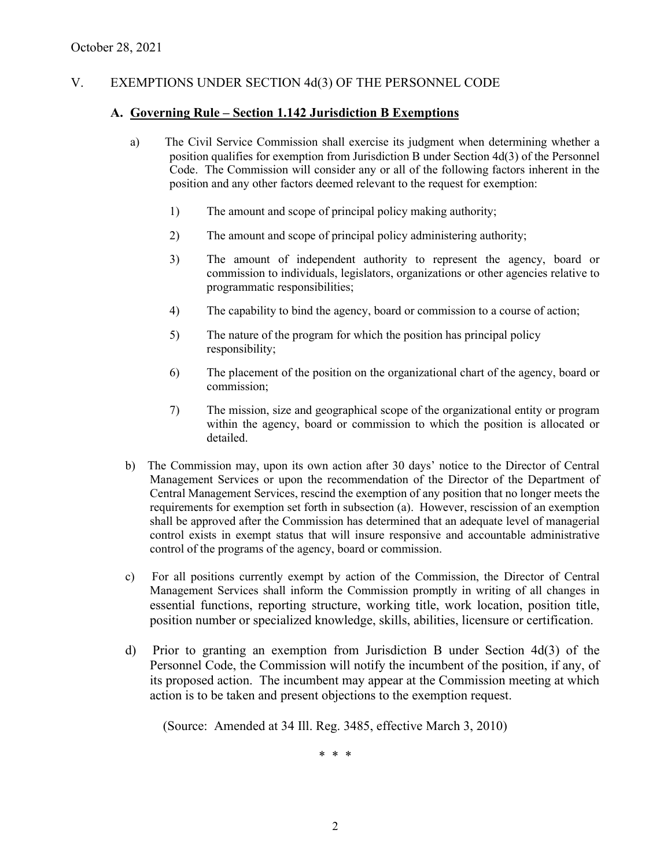### V. EXEMPTIONS UNDER SECTION 4d(3) OF THE PERSONNEL CODE

#### **A. Governing Rule – Section 1.142 Jurisdiction B Exemptions**

- a) The Civil Service Commission shall exercise its judgment when determining whether a position qualifies for exemption from Jurisdiction B under Section 4d(3) of the Personnel Code. The Commission will consider any or all of the following factors inherent in the position and any other factors deemed relevant to the request for exemption:
	- 1) The amount and scope of principal policy making authority;
	- 2) The amount and scope of principal policy administering authority;
	- 3) The amount of independent authority to represent the agency, board or commission to individuals, legislators, organizations or other agencies relative to programmatic responsibilities;
	- 4) The capability to bind the agency, board or commission to a course of action;
	- 5) The nature of the program for which the position has principal policy responsibility;
	- 6) The placement of the position on the organizational chart of the agency, board or commission;
	- 7) The mission, size and geographical scope of the organizational entity or program within the agency, board or commission to which the position is allocated or detailed.
- b) The Commission may, upon its own action after 30 days' notice to the Director of Central Management Services or upon the recommendation of the Director of the Department of Central Management Services, rescind the exemption of any position that no longer meets the requirements for exemption set forth in subsection (a). However, rescission of an exemption shall be approved after the Commission has determined that an adequate level of managerial control exists in exempt status that will insure responsive and accountable administrative control of the programs of the agency, board or commission.
- c) For all positions currently exempt by action of the Commission, the Director of Central Management Services shall inform the Commission promptly in writing of all changes in essential functions, reporting structure, working title, work location, position title, position number or specialized knowledge, skills, abilities, licensure or certification.
- d) Prior to granting an exemption from Jurisdiction B under Section 4d(3) of the Personnel Code, the Commission will notify the incumbent of the position, if any, of its proposed action. The incumbent may appear at the Commission meeting at which action is to be taken and present objections to the exemption request.

(Source: Amended at 34 Ill. Reg. 3485, effective March 3, 2010)

\* \* \*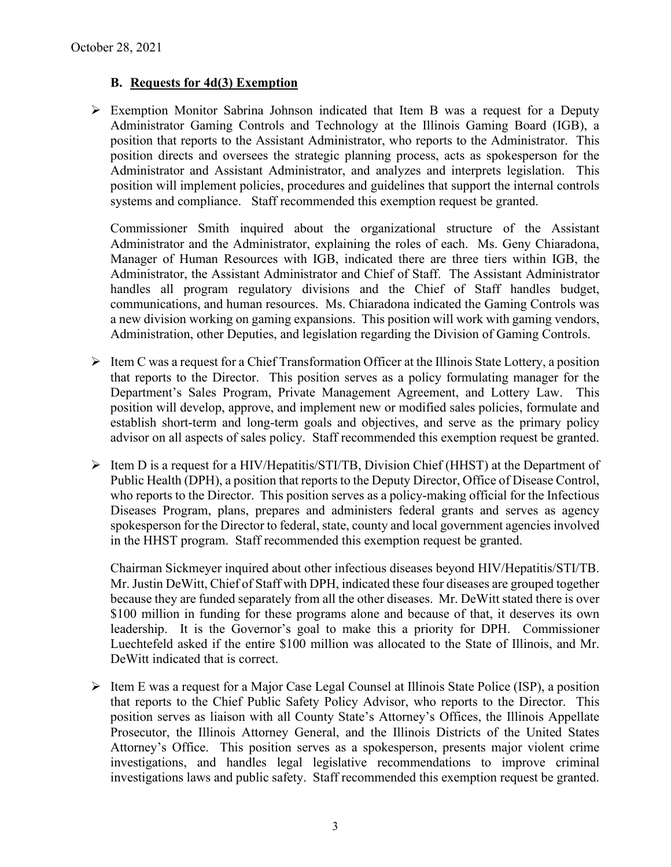### **B. Requests for 4d(3) Exemption**

 Exemption Monitor Sabrina Johnson indicated that Item B was a request for a Deputy Administrator Gaming Controls and Technology at the Illinois Gaming Board (IGB), a position that reports to the Assistant Administrator, who reports to the Administrator. This position directs and oversees the strategic planning process, acts as spokesperson for the Administrator and Assistant Administrator, and analyzes and interprets legislation. This position will implement policies, procedures and guidelines that support the internal controls systems and compliance. Staff recommended this exemption request be granted.

Commissioner Smith inquired about the organizational structure of the Assistant Administrator and the Administrator, explaining the roles of each. Ms. Geny Chiaradona, Manager of Human Resources with IGB, indicated there are three tiers within IGB, the Administrator, the Assistant Administrator and Chief of Staff. The Assistant Administrator handles all program regulatory divisions and the Chief of Staff handles budget, communications, and human resources. Ms. Chiaradona indicated the Gaming Controls was a new division working on gaming expansions. This position will work with gaming vendors, Administration, other Deputies, and legislation regarding the Division of Gaming Controls.

- $\triangleright$  Item C was a request for a Chief Transformation Officer at the Illinois State Lottery, a position that reports to the Director. This position serves as a policy formulating manager for the Department's Sales Program, Private Management Agreement, and Lottery Law. This position will develop, approve, and implement new or modified sales policies, formulate and establish short-term and long-term goals and objectives, and serve as the primary policy advisor on all aspects of sales policy. Staff recommended this exemption request be granted.
- $\triangleright$  Item D is a request for a HIV/Hepatitis/STI/TB, Division Chief (HHST) at the Department of Public Health (DPH), a position that reports to the Deputy Director, Office of Disease Control, who reports to the Director. This position serves as a policy-making official for the Infectious Diseases Program, plans, prepares and administers federal grants and serves as agency spokesperson for the Director to federal, state, county and local government agencies involved in the HHST program. Staff recommended this exemption request be granted.

Chairman Sickmeyer inquired about other infectious diseases beyond HIV/Hepatitis/STI/TB. Mr. Justin DeWitt, Chief of Staff with DPH, indicated these four diseases are grouped together because they are funded separately from all the other diseases. Mr. DeWitt stated there is over \$100 million in funding for these programs alone and because of that, it deserves its own leadership. It is the Governor's goal to make this a priority for DPH. Commissioner Luechtefeld asked if the entire \$100 million was allocated to the State of Illinois, and Mr. DeWitt indicated that is correct.

 $\triangleright$  Item E was a request for a Major Case Legal Counsel at Illinois State Police (ISP), a position that reports to the Chief Public Safety Policy Advisor, who reports to the Director. This position serves as liaison with all County State's Attorney's Offices, the Illinois Appellate Prosecutor, the Illinois Attorney General, and the Illinois Districts of the United States Attorney's Office. This position serves as a spokesperson, presents major violent crime investigations, and handles legal legislative recommendations to improve criminal investigations laws and public safety. Staff recommended this exemption request be granted.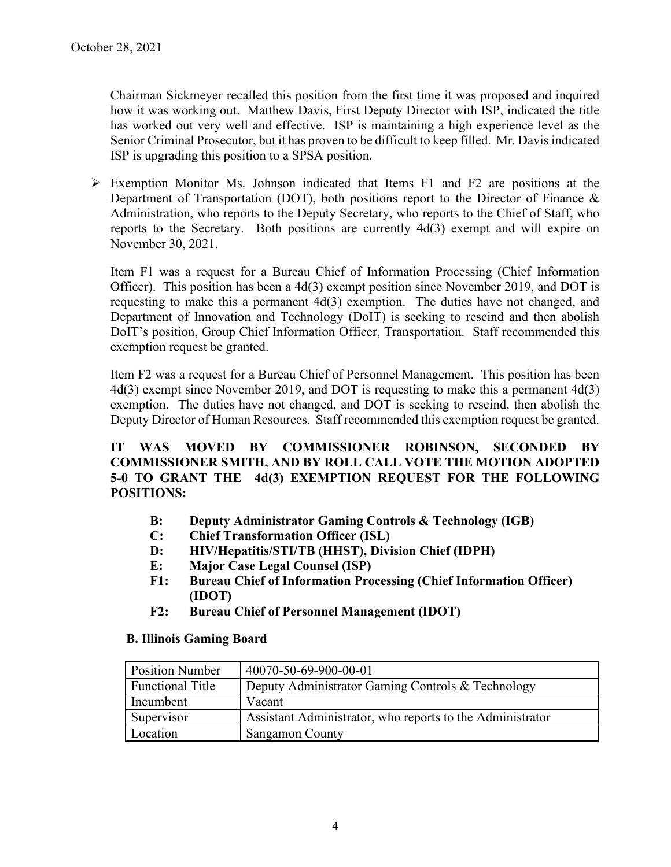Chairman Sickmeyer recalled this position from the first time it was proposed and inquired how it was working out. Matthew Davis, First Deputy Director with ISP, indicated the title has worked out very well and effective. ISP is maintaining a high experience level as the Senior Criminal Prosecutor, but it has proven to be difficult to keep filled. Mr. Davis indicated ISP is upgrading this position to a SPSA position.

 $\triangleright$  Exemption Monitor Ms. Johnson indicated that Items F1 and F2 are positions at the Department of Transportation (DOT), both positions report to the Director of Finance & Administration, who reports to the Deputy Secretary, who reports to the Chief of Staff, who reports to the Secretary. Both positions are currently 4d(3) exempt and will expire on November 30, 2021.

Item F1 was a request for a Bureau Chief of Information Processing (Chief Information Officer). This position has been a 4d(3) exempt position since November 2019, and DOT is requesting to make this a permanent 4d(3) exemption. The duties have not changed, and Department of Innovation and Technology (DoIT) is seeking to rescind and then abolish DoIT's position, Group Chief Information Officer, Transportation. Staff recommended this exemption request be granted.

Item F2 was a request for a Bureau Chief of Personnel Management. This position has been 4d(3) exempt since November 2019, and DOT is requesting to make this a permanent 4d(3) exemption. The duties have not changed, and DOT is seeking to rescind, then abolish the Deputy Director of Human Resources. Staff recommended this exemption request be granted.

**IT WAS MOVED BY COMMISSIONER ROBINSON, SECONDED BY COMMISSIONER SMITH, AND BY ROLL CALL VOTE THE MOTION ADOPTED 5-0 TO GRANT THE 4d(3) EXEMPTION REQUEST FOR THE FOLLOWING POSITIONS:**

- **B: Deputy Administrator Gaming Controls & Technology (IGB)**
- **C: Chief Transformation Officer (ISL)**
- **D: HIV/Hepatitis/STI/TB (HHST), Division Chief (IDPH)**
- **E: Major Case Legal Counsel (ISP)**
- **F1: Bureau Chief of Information Processing (Chief Information Officer) (IDOT)**
- **F2: Bureau Chief of Personnel Management (IDOT)**

### **B. Illinois Gaming Board**

| <b>Position Number</b>  | 40070-50-69-900-00-01                                     |
|-------------------------|-----------------------------------------------------------|
| <b>Functional Title</b> | Deputy Administrator Gaming Controls & Technology         |
| Incumbent               | Vacant                                                    |
| Supervisor              | Assistant Administrator, who reports to the Administrator |
| Location                | <b>Sangamon County</b>                                    |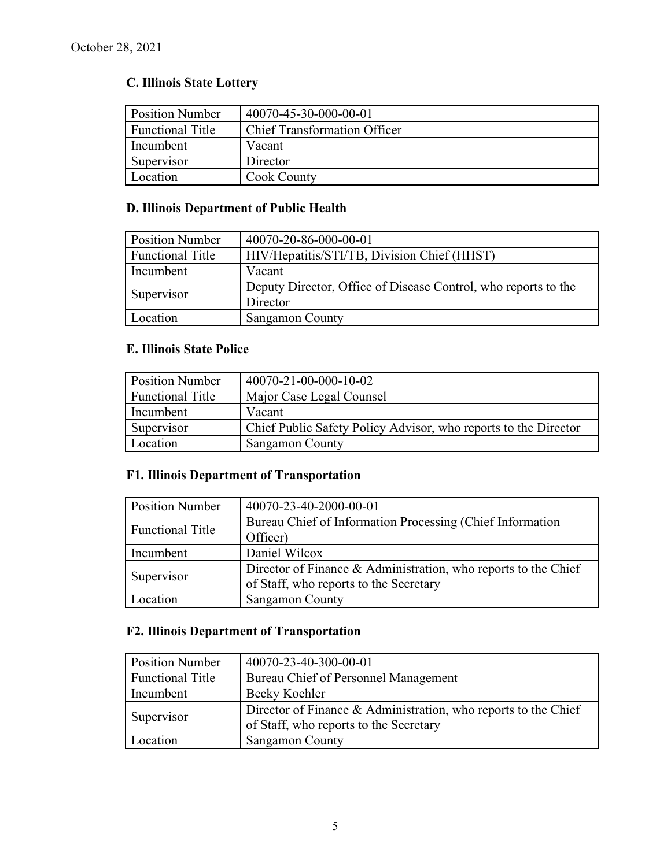# **C. Illinois State Lottery**

| <b>Position Number</b>  | 40070-45-30-000-00-01               |
|-------------------------|-------------------------------------|
| <b>Functional Title</b> | <b>Chief Transformation Officer</b> |
| Incumbent               | Vacant                              |
| Supervisor              | Director                            |
| Location                | Cook County                         |

# **D. Illinois Department of Public Health**

| <b>Position Number</b>  | 40070-20-86-000-00-01                                          |  |
|-------------------------|----------------------------------------------------------------|--|
| <b>Functional Title</b> | HIV/Hepatitis/STI/TB, Division Chief (HHST)                    |  |
| Incumbent               | Vacant                                                         |  |
| Supervisor              | Deputy Director, Office of Disease Control, who reports to the |  |
|                         | Director                                                       |  |
| Location                | <b>Sangamon County</b>                                         |  |

### **E. Illinois State Police**

| <b>Position Number</b>  | 40070-21-00-000-10-02                                           |
|-------------------------|-----------------------------------------------------------------|
| <b>Functional Title</b> | Major Case Legal Counsel                                        |
| Incumbent               | Vacant                                                          |
| Supervisor              | Chief Public Safety Policy Advisor, who reports to the Director |
| Location                | <b>Sangamon County</b>                                          |

# **F1. Illinois Department of Transportation**

| <b>Position Number</b>  | 40070-23-40-2000-00-01                                                                                   |  |
|-------------------------|----------------------------------------------------------------------------------------------------------|--|
| <b>Functional Title</b> | Bureau Chief of Information Processing (Chief Information<br>Officer)                                    |  |
| Incumbent               | Daniel Wilcox                                                                                            |  |
| Supervisor              | Director of Finance & Administration, who reports to the Chief<br>of Staff, who reports to the Secretary |  |
| Location                | <b>Sangamon County</b>                                                                                   |  |

## **F2. Illinois Department of Transportation**

| <b>Position Number</b> | 40070-23-40-300-00-01                                                                                    |  |
|------------------------|----------------------------------------------------------------------------------------------------------|--|
| Functional Title       | Bureau Chief of Personnel Management                                                                     |  |
| Incumbent              | Becky Koehler                                                                                            |  |
| Supervisor             | Director of Finance & Administration, who reports to the Chief<br>of Staff, who reports to the Secretary |  |
| Location               | <b>Sangamon County</b>                                                                                   |  |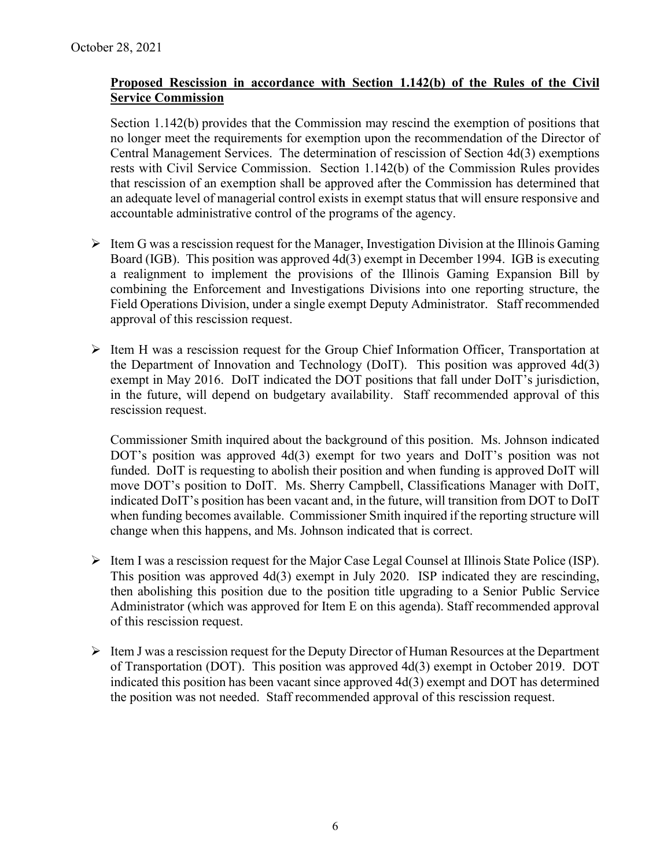### **Proposed Rescission in accordance with Section 1.142(b) of the Rules of the Civil Service Commission**

Section 1.142(b) provides that the Commission may rescind the exemption of positions that no longer meet the requirements for exemption upon the recommendation of the Director of Central Management Services. The determination of rescission of Section 4d(3) exemptions rests with Civil Service Commission. Section 1.142(b) of the Commission Rules provides that rescission of an exemption shall be approved after the Commission has determined that an adequate level of managerial control exists in exempt status that will ensure responsive and accountable administrative control of the programs of the agency.

- $\triangleright$  Item G was a rescission request for the Manager, Investigation Division at the Illinois Gaming Board (IGB). This position was approved 4d(3) exempt in December 1994. IGB is executing a realignment to implement the provisions of the Illinois Gaming Expansion Bill by combining the Enforcement and Investigations Divisions into one reporting structure, the Field Operations Division, under a single exempt Deputy Administrator. Staff recommended approval of this rescission request.
- $\triangleright$  Item H was a rescission request for the Group Chief Information Officer, Transportation at the Department of Innovation and Technology (DoIT). This position was approved 4d(3) exempt in May 2016. DoIT indicated the DOT positions that fall under DoIT's jurisdiction, in the future, will depend on budgetary availability. Staff recommended approval of this rescission request.

Commissioner Smith inquired about the background of this position. Ms. Johnson indicated DOT's position was approved 4d(3) exempt for two years and DoIT's position was not funded. DoIT is requesting to abolish their position and when funding is approved DoIT will move DOT's position to DoIT. Ms. Sherry Campbell, Classifications Manager with DoIT, indicated DoIT's position has been vacant and, in the future, will transition from DOT to DoIT when funding becomes available. Commissioner Smith inquired if the reporting structure will change when this happens, and Ms. Johnson indicated that is correct.

- $\triangleright$  Item I was a rescission request for the Major Case Legal Counsel at Illinois State Police (ISP). This position was approved 4d(3) exempt in July 2020. ISP indicated they are rescinding, then abolishing this position due to the position title upgrading to a Senior Public Service Administrator (which was approved for Item E on this agenda). Staff recommended approval of this rescission request.
- $\triangleright$  Item J was a rescission request for the Deputy Director of Human Resources at the Department of Transportation (DOT). This position was approved 4d(3) exempt in October 2019. DOT indicated this position has been vacant since approved 4d(3) exempt and DOT has determined the position was not needed. Staff recommended approval of this rescission request.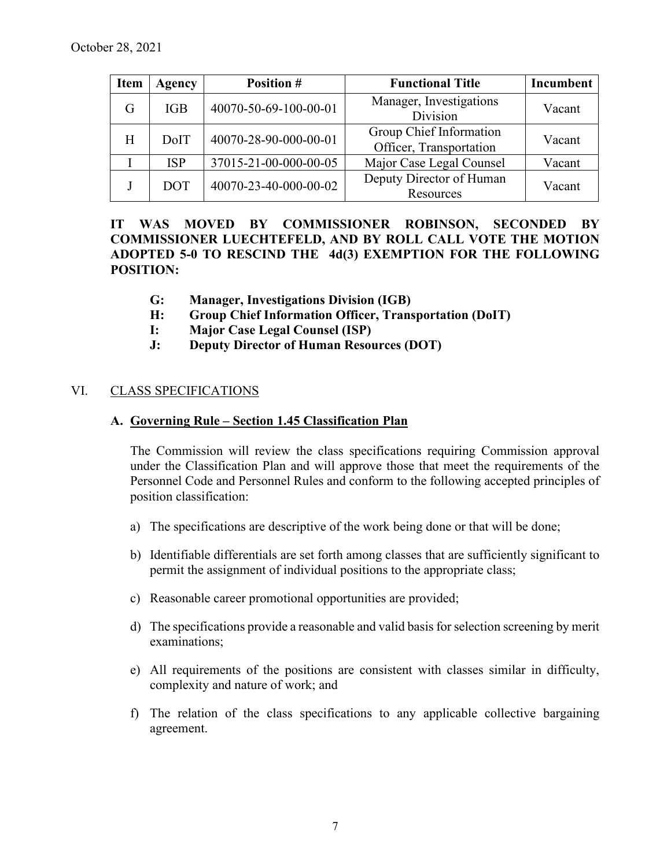| <b>Item</b> | Agency     | <b>Position #</b>     | <b>Functional Title</b>                            | Incumbent |
|-------------|------------|-----------------------|----------------------------------------------------|-----------|
| G           | <b>IGB</b> | 40070-50-69-100-00-01 | Manager, Investigations<br><b>Division</b>         | Vacant    |
| H           | DoIT       | 40070-28-90-000-00-01 | Group Chief Information<br>Officer, Transportation | Vacant    |
|             | <b>ISP</b> | 37015-21-00-000-00-05 | Major Case Legal Counsel                           | Vacant    |
|             | <b>DOT</b> | 40070-23-40-000-00-02 | Deputy Director of Human<br>Resources              | Vacant    |

**IT WAS MOVED BY COMMISSIONER ROBINSON, SECONDED BY COMMISSIONER LUECHTEFELD, AND BY ROLL CALL VOTE THE MOTION ADOPTED 5-0 TO RESCIND THE 4d(3) EXEMPTION FOR THE FOLLOWING POSITION:**

- **G: Manager, Investigations Division (IGB)**
- **H: Group Chief Information Officer, Transportation (DoIT)**
- **I: Major Case Legal Counsel (ISP)**
- **J: Deputy Director of Human Resources (DOT)**

### VI. CLASS SPECIFICATIONS

#### **A. Governing Rule – Section 1.45 Classification Plan**

The Commission will review the class specifications requiring Commission approval under the Classification Plan and will approve those that meet the requirements of the Personnel Code and Personnel Rules and conform to the following accepted principles of position classification:

- a) The specifications are descriptive of the work being done or that will be done;
- b) Identifiable differentials are set forth among classes that are sufficiently significant to permit the assignment of individual positions to the appropriate class;
- c) Reasonable career promotional opportunities are provided;
- d) The specifications provide a reasonable and valid basis for selection screening by merit examinations;
- e) All requirements of the positions are consistent with classes similar in difficulty, complexity and nature of work; and
- f) The relation of the class specifications to any applicable collective bargaining agreement.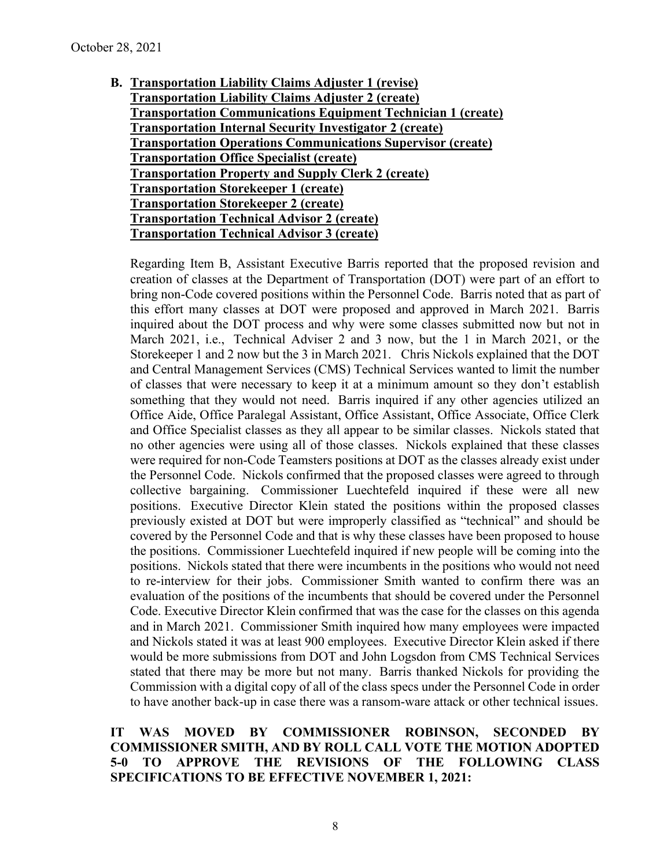**B. Transportation Liability Claims Adjuster 1 (revise) Transportation Liability Claims Adjuster 2 (create) Transportation Communications Equipment Technician 1 (create) Transportation Internal Security Investigator 2 (create) Transportation Operations Communications Supervisor (create) Transportation Office Specialist (create) Transportation Property and Supply Clerk 2 (create) Transportation Storekeeper 1 (create) Transportation Storekeeper 2 (create) Transportation Technical Advisor 2 (create) Transportation Technical Advisor 3 (create)**

Regarding Item B, Assistant Executive Barris reported that the proposed revision and creation of classes at the Department of Transportation (DOT) were part of an effort to bring non-Code covered positions within the Personnel Code. Barris noted that as part of this effort many classes at DOT were proposed and approved in March 2021. Barris inquired about the DOT process and why were some classes submitted now but not in March 2021, i.e., Technical Adviser 2 and 3 now, but the 1 in March 2021, or the Storekeeper 1 and 2 now but the 3 in March 2021. Chris Nickols explained that the DOT and Central Management Services (CMS) Technical Services wanted to limit the number of classes that were necessary to keep it at a minimum amount so they don't establish something that they would not need. Barris inquired if any other agencies utilized an Office Aide, Office Paralegal Assistant, Office Assistant, Office Associate, Office Clerk and Office Specialist classes as they all appear to be similar classes. Nickols stated that no other agencies were using all of those classes. Nickols explained that these classes were required for non-Code Teamsters positions at DOT as the classes already exist under the Personnel Code. Nickols confirmed that the proposed classes were agreed to through collective bargaining. Commissioner Luechtefeld inquired if these were all new positions. Executive Director Klein stated the positions within the proposed classes previously existed at DOT but were improperly classified as "technical" and should be covered by the Personnel Code and that is why these classes have been proposed to house the positions. Commissioner Luechtefeld inquired if new people will be coming into the positions. Nickols stated that there were incumbents in the positions who would not need to re-interview for their jobs. Commissioner Smith wanted to confirm there was an evaluation of the positions of the incumbents that should be covered under the Personnel Code. Executive Director Klein confirmed that was the case for the classes on this agenda and in March 2021. Commissioner Smith inquired how many employees were impacted and Nickols stated it was at least 900 employees. Executive Director Klein asked if there would be more submissions from DOT and John Logsdon from CMS Technical Services stated that there may be more but not many. Barris thanked Nickols for providing the Commission with a digital copy of all of the class specs under the Personnel Code in order to have another back-up in case there was a ransom-ware attack or other technical issues.

### **IT WAS MOVED BY COMMISSIONER ROBINSON, SECONDED BY COMMISSIONER SMITH, AND BY ROLL CALL VOTE THE MOTION ADOPTED 5-0 TO APPROVE THE REVISIONS OF THE FOLLOWING CLASS SPECIFICATIONS TO BE EFFECTIVE NOVEMBER 1, 2021:**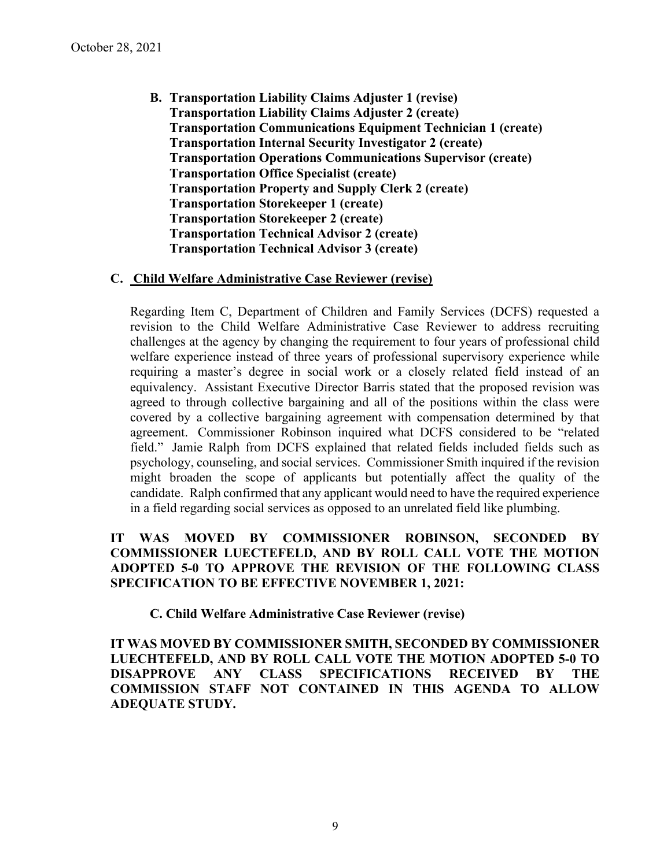**B. Transportation Liability Claims Adjuster 1 (revise) Transportation Liability Claims Adjuster 2 (create) Transportation Communications Equipment Technician 1 (create) Transportation Internal Security Investigator 2 (create) Transportation Operations Communications Supervisor (create) Transportation Office Specialist (create) Transportation Property and Supply Clerk 2 (create) Transportation Storekeeper 1 (create) Transportation Storekeeper 2 (create) Transportation Technical Advisor 2 (create) Transportation Technical Advisor 3 (create)**

### **C. Child Welfare Administrative Case Reviewer (revise)**

Regarding Item C, Department of Children and Family Services (DCFS) requested a revision to the Child Welfare Administrative Case Reviewer to address recruiting challenges at the agency by changing the requirement to four years of professional child welfare experience instead of three years of professional supervisory experience while requiring a master's degree in social work or a closely related field instead of an equivalency. Assistant Executive Director Barris stated that the proposed revision was agreed to through collective bargaining and all of the positions within the class were covered by a collective bargaining agreement with compensation determined by that agreement. Commissioner Robinson inquired what DCFS considered to be "related field." Jamie Ralph from DCFS explained that related fields included fields such as psychology, counseling, and social services. Commissioner Smith inquired if the revision might broaden the scope of applicants but potentially affect the quality of the candidate. Ralph confirmed that any applicant would need to have the required experience in a field regarding social services as opposed to an unrelated field like plumbing.

### **IT WAS MOVED BY COMMISSIONER ROBINSON, SECONDED BY COMMISSIONER LUECTEFELD, AND BY ROLL CALL VOTE THE MOTION ADOPTED 5-0 TO APPROVE THE REVISION OF THE FOLLOWING CLASS SPECIFICATION TO BE EFFECTIVE NOVEMBER 1, 2021:**

### **C. Child Welfare Administrative Case Reviewer (revise)**

**IT WAS MOVED BY COMMISSIONER SMITH, SECONDED BY COMMISSIONER LUECHTEFELD, AND BY ROLL CALL VOTE THE MOTION ADOPTED 5-0 TO DISAPPROVE ANY CLASS SPECIFICATIONS RECEIVED BY THE COMMISSION STAFF NOT CONTAINED IN THIS AGENDA TO ALLOW ADEQUATE STUDY.**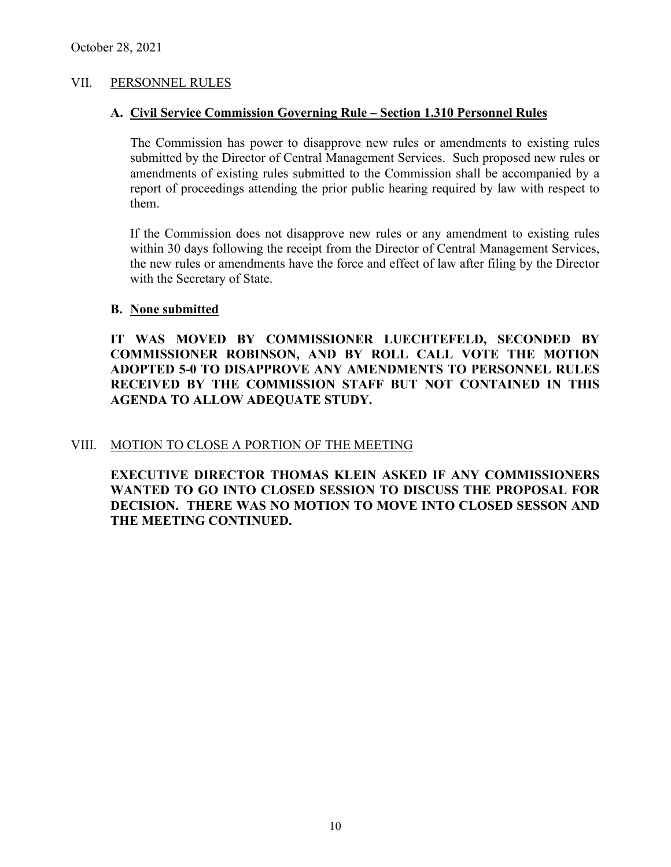### VII. PERSONNEL RULES

#### **A. Civil Service Commission Governing Rule – Section 1.310 Personnel Rules**

The Commission has power to disapprove new rules or amendments to existing rules submitted by the Director of Central Management Services. Such proposed new rules or amendments of existing rules submitted to the Commission shall be accompanied by a report of proceedings attending the prior public hearing required by law with respect to them.

If the Commission does not disapprove new rules or any amendment to existing rules within 30 days following the receipt from the Director of Central Management Services, the new rules or amendments have the force and effect of law after filing by the Director with the Secretary of State.

#### **B. None submitted**

**IT WAS MOVED BY COMMISSIONER LUECHTEFELD, SECONDED BY COMMISSIONER ROBINSON, AND BY ROLL CALL VOTE THE MOTION ADOPTED 5-0 TO DISAPPROVE ANY AMENDMENTS TO PERSONNEL RULES RECEIVED BY THE COMMISSION STAFF BUT NOT CONTAINED IN THIS AGENDA TO ALLOW ADEQUATE STUDY.** 

### VIII. MOTION TO CLOSE A PORTION OF THE MEETING

**EXECUTIVE DIRECTOR THOMAS KLEIN ASKED IF ANY COMMISSIONERS WANTED TO GO INTO CLOSED SESSION TO DISCUSS THE PROPOSAL FOR DECISION. THERE WAS NO MOTION TO MOVE INTO CLOSED SESSON AND THE MEETING CONTINUED.**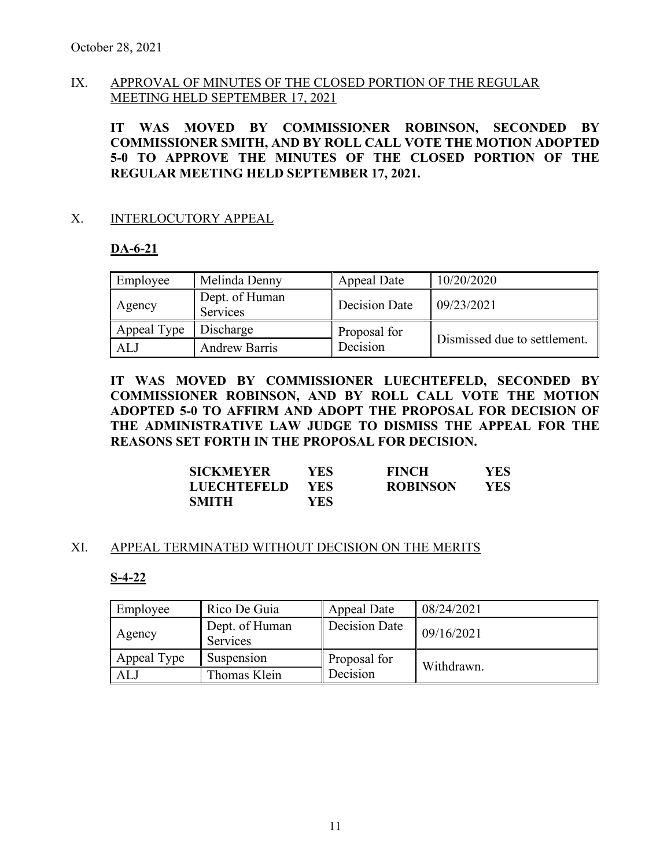### IX. APPROVAL OF MINUTES OF THE CLOSED PORTION OF THE REGULAR MEETING HELD SEPTEMBER 17, 2021

**IT WAS MOVED BY COMMISSIONER ROBINSON, SECONDED BY COMMISSIONER SMITH, AND BY ROLL CALL VOTE THE MOTION ADOPTED 5-0 TO APPROVE THE MINUTES OF THE CLOSED PORTION OF THE REGULAR MEETING HELD SEPTEMBER 17, 2021.** 

### X. INTERLOCUTORY APPEAL

### **DA-6-21**

| Employee    | Melinda Denny              | Appeal Date   | 10/20/2020                   |  |
|-------------|----------------------------|---------------|------------------------------|--|
| Agency      | Dept. of Human<br>Services | Decision Date | 09/23/2021                   |  |
| Appeal Type | Discharge                  | Proposal for  |                              |  |
| ALJ         | <b>Andrew Barris</b>       | Decision      | Dismissed due to settlement. |  |

**IT WAS MOVED BY COMMISSIONER LUECHTEFELD, SECONDED BY COMMISSIONER ROBINSON, AND BY ROLL CALL VOTE THE MOTION ADOPTED 5-0 TO AFFIRM AND ADOPT THE PROPOSAL FOR DECISION OF THE ADMINISTRATIVE LAW JUDGE TO DISMISS THE APPEAL FOR THE REASONS SET FORTH IN THE PROPOSAL FOR DECISION.** 

| <b>SICKMEYER</b>   | YES        | <b>FINCH</b>    | <b>YES</b> |
|--------------------|------------|-----------------|------------|
| <b>LUECHTEFELD</b> | <b>YES</b> | <b>ROBINSON</b> | YES        |
| <b>SMITH</b>       | YES.       |                 |            |

### XI. APPEAL TERMINATED WITHOUT DECISION ON THE MERITS

### **S-4-22**

| Employee    | Rico De Guia                      | <b>Appeal Date</b> | 08/24/2021 |
|-------------|-----------------------------------|--------------------|------------|
| Agency      | Dept. of Human<br><b>Services</b> | Decision Date      | 09/16/2021 |
| Appeal Type | Suspension                        | Proposal for       | Withdrawn. |
| AL.         | Thomas Klein                      | Decision           |            |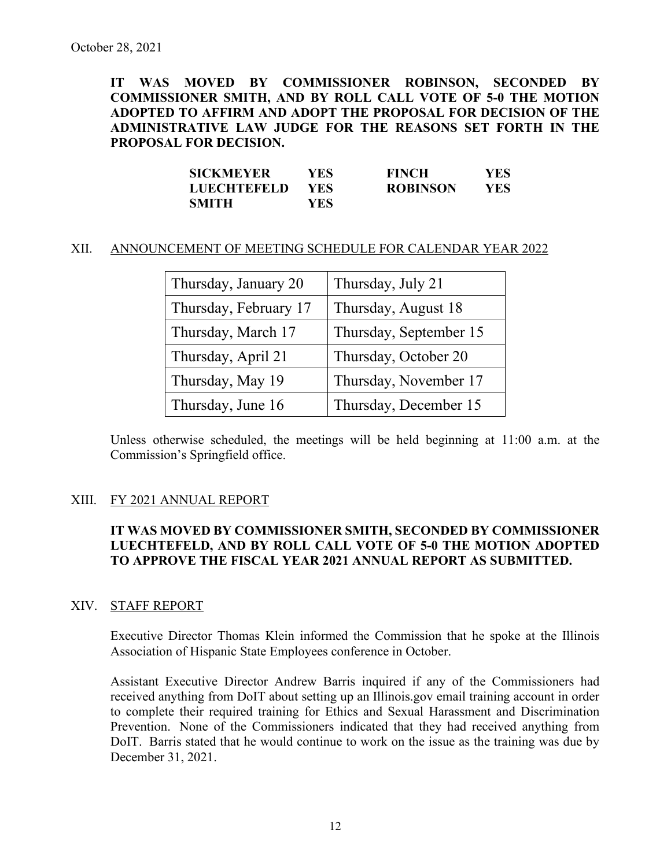**IT WAS MOVED BY COMMISSIONER ROBINSON, SECONDED BY COMMISSIONER SMITH, AND BY ROLL CALL VOTE OF 5-0 THE MOTION ADOPTED TO AFFIRM AND ADOPT THE PROPOSAL FOR DECISION OF THE ADMINISTRATIVE LAW JUDGE FOR THE REASONS SET FORTH IN THE PROPOSAL FOR DECISION.** 

| <b>SICKMEYER</b>   | YES- | <b>FINCH</b>    | YES |
|--------------------|------|-----------------|-----|
| <b>LUECHTEFELD</b> | YES. | <b>ROBINSON</b> | YES |
| <b>SMITH</b>       | YES. |                 |     |

#### XII. ANNOUNCEMENT OF MEETING SCHEDULE FOR CALENDAR YEAR 2022

| Thursday, January 20  | Thursday, July 21      |  |
|-----------------------|------------------------|--|
| Thursday, February 17 | Thursday, August 18    |  |
| Thursday, March 17    | Thursday, September 15 |  |
| Thursday, April 21    | Thursday, October 20   |  |
| Thursday, May 19      | Thursday, November 17  |  |
| Thursday, June 16     | Thursday, December 15  |  |

Unless otherwise scheduled, the meetings will be held beginning at 11:00 a.m. at the Commission's Springfield office.

### XIII. FY 2021 ANNUAL REPORT

### **IT WAS MOVED BY COMMISSIONER SMITH, SECONDED BY COMMISSIONER LUECHTEFELD, AND BY ROLL CALL VOTE OF 5-0 THE MOTION ADOPTED TO APPROVE THE FISCAL YEAR 2021 ANNUAL REPORT AS SUBMITTED.**

### XIV. STAFF REPORT

Executive Director Thomas Klein informed the Commission that he spoke at the Illinois Association of Hispanic State Employees conference in October.

Assistant Executive Director Andrew Barris inquired if any of the Commissioners had received anything from DoIT about setting up an Illinois.gov email training account in order to complete their required training for Ethics and Sexual Harassment and Discrimination Prevention. None of the Commissioners indicated that they had received anything from DoIT. Barris stated that he would continue to work on the issue as the training was due by December 31, 2021.